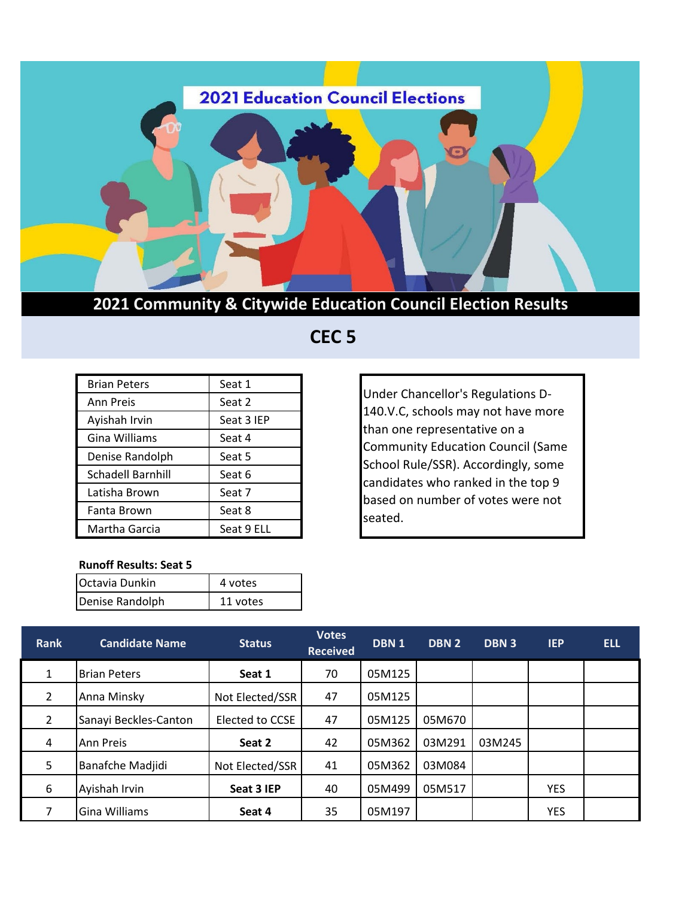

**2021 Community & Citywide Education Council Election Results**

## **CEC 5**

| <b>Brian Peters</b> | Seat 1     |  |  |  |
|---------------------|------------|--|--|--|
| Ann Preis           | Seat 2     |  |  |  |
| Ayishah Irvin       | Seat 3 IEP |  |  |  |
| Gina Williams       | Seat 4     |  |  |  |
| Denise Randolph     | Seat 5     |  |  |  |
| Schadell Barnhill   | Seat 6     |  |  |  |
| Latisha Brown       | Seat 7     |  |  |  |
| Fanta Brown         | Seat 8     |  |  |  |
| Martha Garcia       | Seat 9 ELL |  |  |  |

Under Chancellor's Regulations D-140.V.C, schools may not have more than one representative on a Community Education Council (Same School Rule/SSR). Accordingly, some candidates who ranked in the top 9 based on number of votes were not seated.

## **Runoff Results: Seat 5**

| Octavia Dunkin  | 4 votes  |  |  |  |
|-----------------|----------|--|--|--|
| Denise Randolph | 11 votes |  |  |  |

| <b>Rank</b>    | <b>Candidate Name</b> | <b>Status</b>   | <b>Votes</b><br><b>Received</b> | DBN <sub>1</sub> | DBN <sub>2</sub> | <b>DBN 3</b> | <b>IEP</b> | <b>ELL</b> |
|----------------|-----------------------|-----------------|---------------------------------|------------------|------------------|--------------|------------|------------|
| $\mathbf{1}$   | <b>Brian Peters</b>   | Seat 1          | 70                              | 05M125           |                  |              |            |            |
| 2              | Anna Minsky           | Not Elected/SSR | 47                              | 05M125           |                  |              |            |            |
| $\overline{2}$ | Sanayi Beckles-Canton | Elected to CCSE | 47                              | 05M125           | 05M670           |              |            |            |
| $\overline{4}$ | <b>Ann Preis</b>      | Seat 2          | 42                              | 05M362           | 03M291           | 03M245       |            |            |
| 5              | Banafche Madjidi      | Not Elected/SSR | 41                              | 05M362           | 03M084           |              |            |            |
| 6              | Ayishah Irvin         | Seat 3 IEP      | 40                              | 05M499           | 05M517           |              | <b>YES</b> |            |
|                | Gina Williams         | Seat 4          | 35                              | 05M197           |                  |              | <b>YES</b> |            |